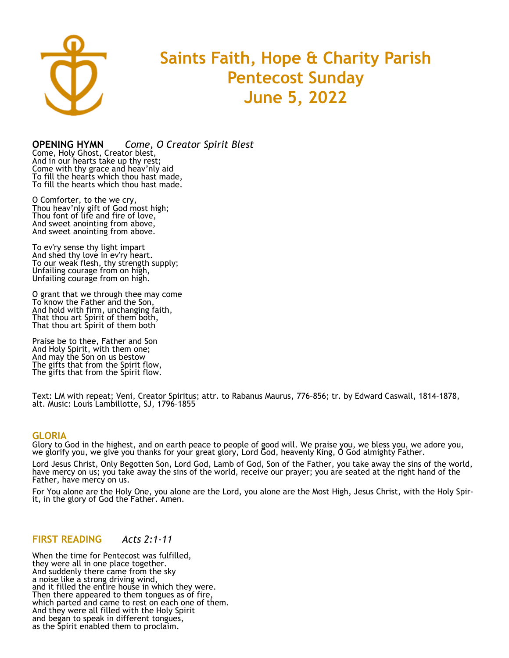

# **Saints Faith, Hope & Charity Parish Pentecost Sunday June 5, 2022**

**OPENING HYMN** *Come, O Creator Spirit Blest*

Come, Holy Ghost, Creator blest, And in our hearts take up thy rest; Come with thy grace and heav'nly aid To fill the hearts which thou hast made, To fill the hearts which thou hast made.

O Comforter, to the we cry, Thou heav'nly gift of God most high; Thou font of life and fire of love, And sweet anointing from above, And sweet anointing from above.

To ev'ry sense thy light impart And shed thy love in ev'ry heart. To our weak flesh, thy strength supply; Unfailing courage from on high, Unfailing courage from on high.

O grant that we through thee may come To know the Father and the Son, And hold with firm, unchanging faith, That thou art Spirit of them both, That thou art Spirit of them both

Praise be to thee, Father and Son And Holy Spirit, with them one; And may the Son on us bestow The gifts that from the Spirit flow, The gifts that from the Spirit flow.

Text: LM with repeat; Veni, Creator Spiritus; attr. to Rabanus Maurus, 776–856; tr. by Edward Caswall, 1814–1878, alt. Music: Louis Lambillotte, SJ, 1796–1855

#### **GLORIA**

Glory to God in the highest, and on earth peace to people of good will. We praise you, we bless you, we adore you, we glorify you, we give you thanks for your great glory, Lord God, heavenly King, O God almighty Father.

Lord Jesus Christ, Only Begotten Son, Lord God, Lamb of God, Son of the Father, you take away the sins of the world, have mercy on us; you take away the sins of the world, receive our prayer; you are seated at the right hand of the Father, have mercy on us.

For You alone are the Holy One, you alone are the Lord, you alone are the Most High, Jesus Christ, with the Holy Spirit, in the glory of God the Father. Amen.

#### **FIRST READING** *Acts 2:1-11*

When the time for Pentecost was fulfilled, they were all in one place together. And suddenly there came from the sky a noise like a strong driving wind, and it filled the entire house in which they were. Then there appeared to them tongues as of fire, which parted and came to rest on each one of them. And they were all filled with the Holy Spirit and began to speak in different tongues, as the Spirit enabled them to proclaim.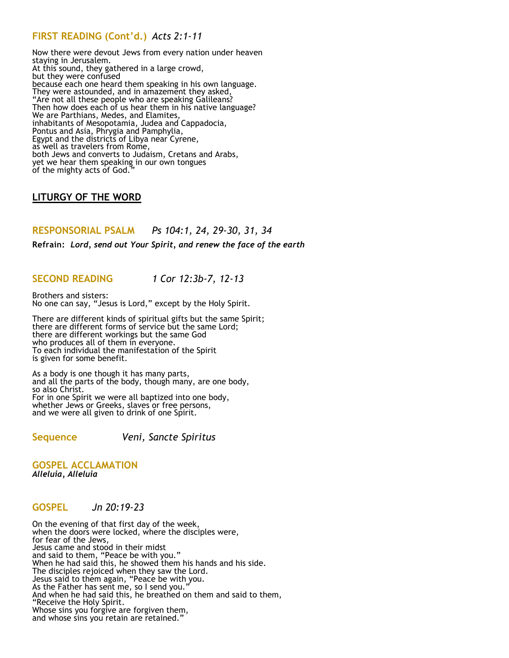# **FIRST READING (Cont'd.)** *Acts 2:1-11*

Now there were devout Jews from every nation under heaven staying in Jerusalem. At this sound, they gathered in a large crowd, but they were confused because each one heard them speaking in his own language. They were astounded, and in amazement they asked, "Are not all these people who are speaking Galileans? Then how does each of us hear them in his native language? We are Parthians, Medes, and Elamites, inhabitants of Mesopotamia, Judea and Cappadocia, Pontus and Asia, Phrygia and Pamphylia, Egypt and the districts of Libya near Cyrene, as well as travelers from Rome, both Jews and converts to Judaism, Cretans and Arabs, yet we hear them speaking in our own tongues of the mighty acts of God."

# **[LITURGY O](http://www.usccb.org/prayer-and-worship/the-mass/order-of-mass/liturgy-of-the-word/index.cfm)F THE WORD**

# **RESPONSORIAL PSALM** *Ps 104:1, 24, 29-30, 31, 34*

**Refrain:** *Lord, send out Your Spirit, and renew the face of the earth*

# **SECOND READING** *1 Cor 12:3b-7, 12-13*

Brothers and sisters: No one can say, "Jesus is Lord," except by the Holy Spirit.

There are different kinds of spiritual gifts but the same Spirit; there are different forms of service but the same Lord; there are different workings but the same God who produces all of them in everyone. To each individual the manifestation of the Spirit is given for some benefit.

As a body is one though it has many parts, and all the parts of the body, though many, are one body, so also Christ. For in one Spirit we were all baptized into one body, whether Jews or Greeks, slaves or free persons, and we were all given to drink of one Spirit.

**Sequence** *Veni, Sancte Spiritus*

#### **GOSPEL ACCLAMATION**  *Alleluia, Alleluia*

#### **GOSPEL** *Jn 20:19-23*

On the evening of that first day of the week, when the doors were locked, where the disciples were, for fear of the Jews, Jesus came and stood in their midst and said to them, "Peace be with you." When he had said this, he showed them his hands and his side. The disciples rejoiced when they saw the Lord. Jesus said to them again, "Peace be with you. As the Father has sent me, so I send you." And when he had said this, he breathed on them and said to them, "Receive the Holy Spirit. Whose sins you forgive are forgiven them, and whose sins you retain are retained."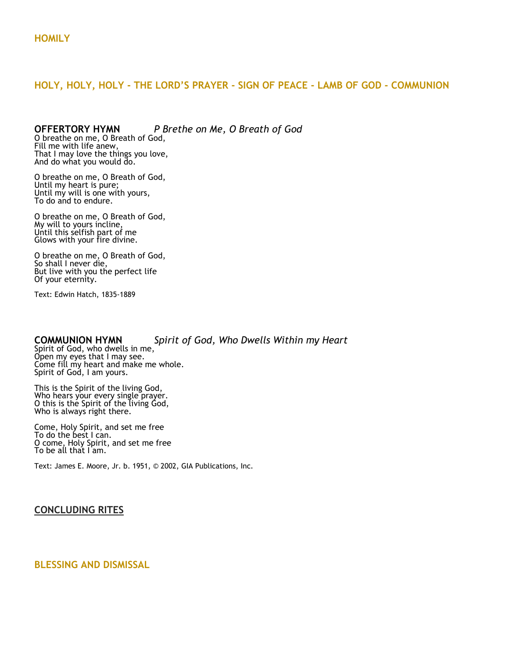## **HOLY, HOLY, HOLY - THE LORD'S PRAYER - SIGN OF PEACE - LAMB OF GOD - COMMUNION**

# **OFFERTORY HYMN** *P Brethe on Me, O Breath of God*

O breathe on me, O Breath of God, Fill me with life anew, That I may love the things you love, And do what you would do.

O breathe on me, O Breath of God, Until my heart is pure; Until my will is one with yours, To do and to endure.

O breathe on me, O Breath of God, My will to yours incline, Until this selfish part of me Glows with your fire divine.

O breathe on me, O Breath of God, So shall I never die, But live with you the perfect life Of your eternity.

Text: Edwin Hatch, 1835-1889

### **COMMUNION HYMN** *Spirit of God, Who Dwells Within my Heart*

Spirit of God, who dwells in me, Open my eyes that I may see. Come fill my heart and make me whole. Spirit of God, I am yours.

This is the Spirit of the living God, Who hears your every single prayer. O this is the Spirit of the living God, Who is always right there.

Come, Holy Spirit, and set me free To do the best I can. O come, Holy Spirit, and set me free To be all that I am.

Text: James E. Moore, Jr. b. 1951, © 2002, GIA Publications, Inc.

# **CONCLUDING RITES**

### **BLESSING AND DISMISSAL**